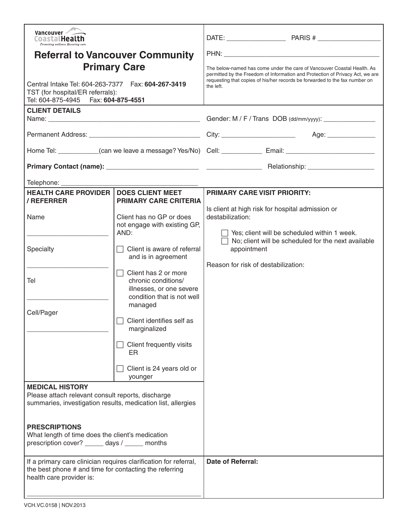| Vancouver<br>CoastalHealth<br>Promoting wellness, Ensuring co.                                                                                                                                                                                                      |                                                                                                                                                                                                                                                                                                                                                                                                                                            |                                                                                                                                                                                                                                                      |                                                                                                                                                                       |
|---------------------------------------------------------------------------------------------------------------------------------------------------------------------------------------------------------------------------------------------------------------------|--------------------------------------------------------------------------------------------------------------------------------------------------------------------------------------------------------------------------------------------------------------------------------------------------------------------------------------------------------------------------------------------------------------------------------------------|------------------------------------------------------------------------------------------------------------------------------------------------------------------------------------------------------------------------------------------------------|-----------------------------------------------------------------------------------------------------------------------------------------------------------------------|
| <b>Referral to Vancouver Community</b><br><b>Primary Care</b><br>Central Intake Tel: 604-263-7377    Fax: 604-267-3419<br>TST (for hospital/ER referrals):<br>Tel: 604-875-4945    Fax: 604-875-4551                                                                |                                                                                                                                                                                                                                                                                                                                                                                                                                            | The below-named has come under the care of Vancouver Coastal Health. As<br>permitted by the Freedom of Information and Protection of Privacy Act, we are<br>requesting that copies of his/her records be forwarded to the fax number on<br>the left. |                                                                                                                                                                       |
| <b>CLIENT DETAILS</b>                                                                                                                                                                                                                                               |                                                                                                                                                                                                                                                                                                                                                                                                                                            | Gender: M / F / Trans DOB (dd/mm/yyyy): _______________                                                                                                                                                                                              |                                                                                                                                                                       |
|                                                                                                                                                                                                                                                                     |                                                                                                                                                                                                                                                                                                                                                                                                                                            |                                                                                                                                                                                                                                                      |                                                                                                                                                                       |
| Home Tel: ___________(can we leave a message? Yes/No) Cell: _____________ Email: ____________________________                                                                                                                                                       |                                                                                                                                                                                                                                                                                                                                                                                                                                            |                                                                                                                                                                                                                                                      |                                                                                                                                                                       |
|                                                                                                                                                                                                                                                                     |                                                                                                                                                                                                                                                                                                                                                                                                                                            |                                                                                                                                                                                                                                                      |                                                                                                                                                                       |
| Telephone: ________________<br><b>HEALTH CARE PROVIDER  </b><br>/ REFERRER<br>Name<br>Specialty<br>Tel<br>Cell/Pager<br><b>MEDICAL HISTORY</b><br>Please attach relevant consult reports, discharge<br>summaries, investigation results, medication list, allergies | <b>DOES CLIENT MEET</b><br><b>PRIMARY CARE CRITERIA</b><br>Client has no GP or does<br>not engage with existing GP,<br>AND:<br>$\Box$ Client is aware of referral<br>and is in agreement<br>Client has 2 or more<br>chronic conditions/<br>illnesses, or one severe<br>condition that is not well<br>managed<br>$\Box$ Client identifies self as<br>marginalized<br>Client frequently visits<br>ER<br>Client is 24 years old or<br>younger | <b>PRIMARY CARE VISIT PRIORITY:</b><br>destabilization:<br>appointment<br>Reason for risk of destabilization:                                                                                                                                        | Is client at high risk for hospital admission or<br>$\Box$ Yes; client will be scheduled within 1 week.<br>$\Box$ No; client will be scheduled for the next available |
| <b>PRESCRIPTIONS</b><br>What length of time does the client's medication<br>prescription cover? ______ days / _____ months                                                                                                                                          |                                                                                                                                                                                                                                                                                                                                                                                                                                            |                                                                                                                                                                                                                                                      |                                                                                                                                                                       |
| If a primary care clinician requires clarification for referral,<br>the best phone # and time for contacting the referring<br>health care provider is:                                                                                                              |                                                                                                                                                                                                                                                                                                                                                                                                                                            | <b>Date of Referral:</b>                                                                                                                                                                                                                             |                                                                                                                                                                       |